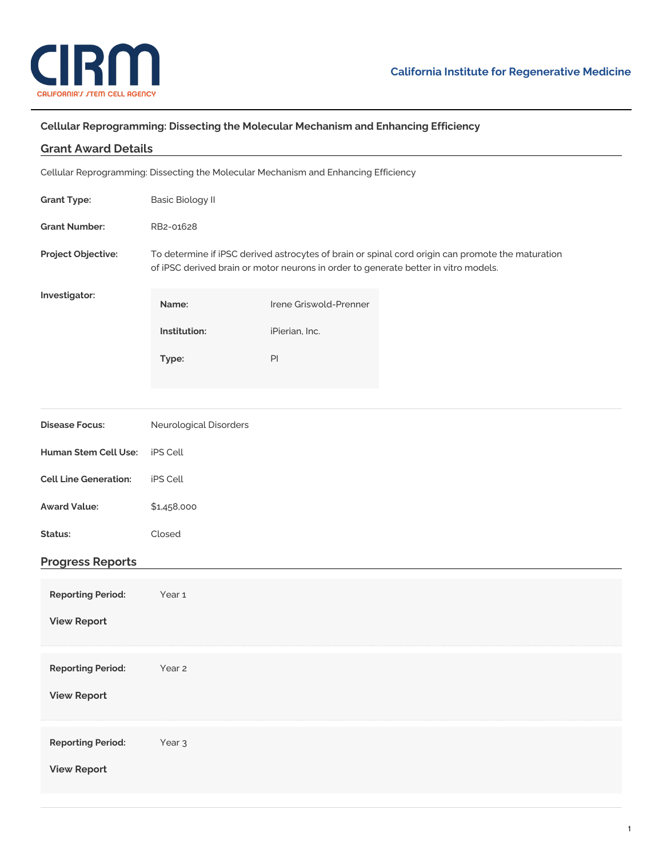

## **Cellular Reprogramming: Dissecting the Molecular Mechanism and Enhancing Efficiency**

| <b>Grant Award Details</b>                                                          |                                                                                                                                                                                          |                        |  |
|-------------------------------------------------------------------------------------|------------------------------------------------------------------------------------------------------------------------------------------------------------------------------------------|------------------------|--|
| Cellular Reprogramming: Dissecting the Molecular Mechanism and Enhancing Efficiency |                                                                                                                                                                                          |                        |  |
| <b>Grant Type:</b>                                                                  | <b>Basic Biology II</b>                                                                                                                                                                  |                        |  |
| <b>Grant Number:</b>                                                                | RB2-01628                                                                                                                                                                                |                        |  |
| Project Objective:                                                                  | To determine if iPSC derived astrocytes of brain or spinal cord origin can promote the maturation<br>of iPSC derived brain or motor neurons in order to generate better in vitro models. |                        |  |
| Investigator:                                                                       | Name:                                                                                                                                                                                    | Irene Griswold-Prenner |  |
|                                                                                     | Institution:                                                                                                                                                                             | iPierian, Inc.         |  |
|                                                                                     | Type:                                                                                                                                                                                    | PI                     |  |
|                                                                                     |                                                                                                                                                                                          |                        |  |
| <b>Disease Focus:</b>                                                               | Neurological Disorders                                                                                                                                                                   |                        |  |
| Human Stem Cell Use:                                                                | iPS Cell                                                                                                                                                                                 |                        |  |
| <b>Cell Line Generation:</b>                                                        | iPS Cell                                                                                                                                                                                 |                        |  |
| <b>Award Value:</b>                                                                 | \$1,458,000                                                                                                                                                                              |                        |  |
| Status:                                                                             | Closed                                                                                                                                                                                   |                        |  |
| <b>Progress Reports</b>                                                             |                                                                                                                                                                                          |                        |  |
| <b>Reporting Period:</b>                                                            | Year 1                                                                                                                                                                                   |                        |  |
| <b>View Report</b>                                                                  |                                                                                                                                                                                          |                        |  |
| <b>Reporting Period:</b>                                                            | Year 2                                                                                                                                                                                   |                        |  |
| <b>View Report</b>                                                                  |                                                                                                                                                                                          |                        |  |
| <b>Reporting Period:</b>                                                            | Year <sub>3</sub>                                                                                                                                                                        |                        |  |
| <b>View Report</b>                                                                  |                                                                                                                                                                                          |                        |  |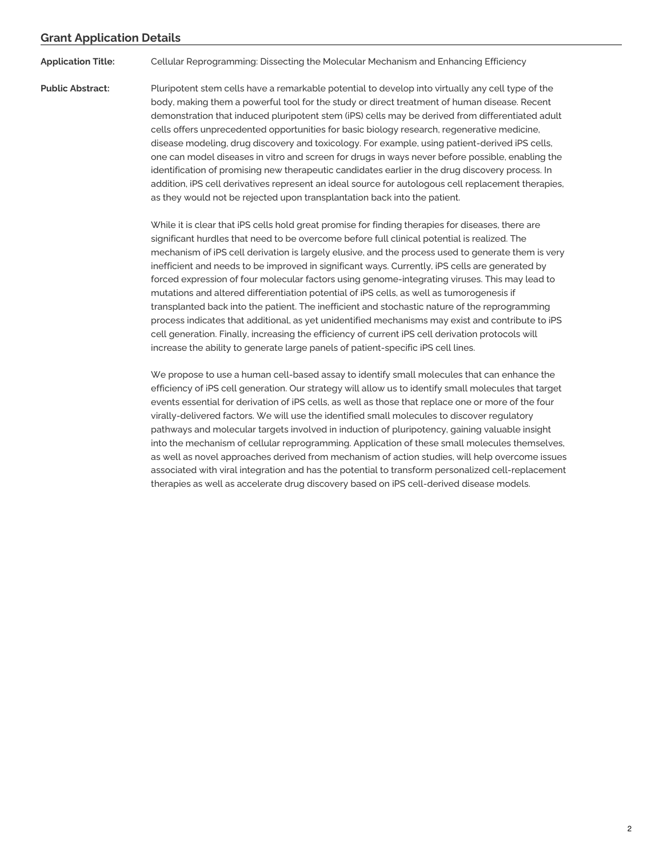## **Grant Application Details**

**Application Title:** Cellular Reprogramming: Dissecting the Molecular Mechanism and Enhancing Efficiency

**Public Abstract:** Pluripotent stem cells have a remarkable potential to develop into virtually any cell type of the body, making them a powerful tool for the study or direct treatment of human disease. Recent demonstration that induced pluripotent stem (iPS) cells may be derived from differentiated adult cells offers unprecedented opportunities for basic biology research, regenerative medicine, disease modeling, drug discovery and toxicology. For example, using patient-derived iPS cells, one can model diseases in vitro and screen for drugs in ways never before possible, enabling the identification of promising new therapeutic candidates earlier in the drug discovery process. In addition, iPS cell derivatives represent an ideal source for autologous cell replacement therapies, as they would not be rejected upon transplantation back into the patient.

> While it is clear that iPS cells hold great promise for finding therapies for diseases, there are significant hurdles that need to be overcome before full clinical potential is realized. The mechanism of iPS cell derivation is largely elusive, and the process used to generate them is very inefficient and needs to be improved in significant ways. Currently, iPS cells are generated by forced expression of four molecular factors using genome-integrating viruses. This may lead to mutations and altered differentiation potential of iPS cells, as well as tumorogenesis if transplanted back into the patient. The inefficient and stochastic nature of the reprogramming process indicates that additional, as yet unidentified mechanisms may exist and contribute to iPS cell generation. Finally, increasing the efficiency of current iPS cell derivation protocols will increase the ability to generate large panels of patient-specific iPS cell lines.

> We propose to use a human cell-based assay to identify small molecules that can enhance the efficiency of iPS cell generation. Our strategy will allow us to identify small molecules that target events essential for derivation of iPS cells, as well as those that replace one or more of the four virally-delivered factors. We will use the identified small molecules to discover regulatory pathways and molecular targets involved in induction of pluripotency, gaining valuable insight into the mechanism of cellular reprogramming. Application of these small molecules themselves, as well as novel approaches derived from mechanism of action studies, will help overcome issues associated with viral integration and has the potential to transform personalized cell-replacement therapies as well as accelerate drug discovery based on iPS cell-derived disease models.